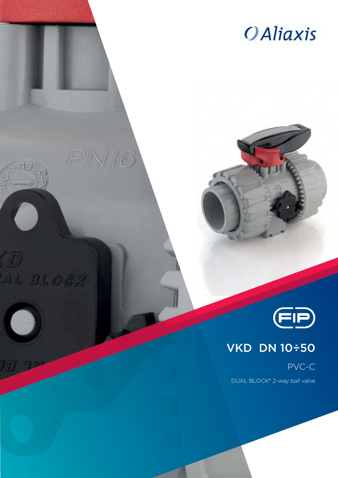



PN16



## VKD DN 10÷50

PVC-C

DUAL BLOCK® 2-way ball valve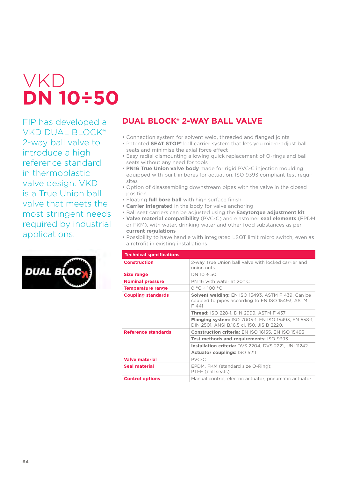# VKD **DN 10÷50**

FIP has developed a VKD DUAL BLOCK® 2-way ball valve to introduce a high reference standard in thermoplastic valve design. VKD is a True Union ball valve that meets the most stringent needs required by industrial applications.



### **DUAL BLOCK® 2-WAY BALL VALVE**

- **•** Connection system for solvent weld, threaded and flanged joints
- **•** Patented **SEAT STOP®** ball carrier system that lets you micro-adjust ball seats and minimise the axial force effect
- **•** Easy radial dismounting allowing quick replacement of O-rings and ball seats without any need for tools
- **• PN16 True Union valve body** made for rigid PVC-C injection moulding equipped with built-in bores for actuation. ISO 9393 compliant test requisites
- **•** Option of disassembling downstream pipes with the valve in the closed position
- **•** Floating **full bore ball** with high surface finish
- **• Carrier integrated** in the body for valve anchoring
- **•** Ball seat carriers can be adjusted using the **Easytorque adjustment kit**
- **• Valve material compatibility** (PVC-C) and elastomer **seal elements** (EPDM or FKM), with water, drinking water and other food substances as per **current regulations**
- **•** Possibility to have handle with integrated LSQT limit micro switch, even as a retrofit in existing installations

| <b>Technical specifications</b> |                                                                                                                       |  |  |  |  |  |  |
|---------------------------------|-----------------------------------------------------------------------------------------------------------------------|--|--|--|--|--|--|
| <b>Construction</b>             | 2-way True Union ball valve with locked carrier and<br>union nuts.                                                    |  |  |  |  |  |  |
| Size range                      | DN 10 ÷ 50                                                                                                            |  |  |  |  |  |  |
| <b>Nominal pressure</b>         | PN 16 with water at 20° C                                                                                             |  |  |  |  |  |  |
| <b>Temperature range</b>        | $0 °C \div 100 °C$                                                                                                    |  |  |  |  |  |  |
| <b>Coupling standards</b>       | <b>Solvent welding: EN ISO 15493, ASTM F 439. Can be</b><br>coupled to pipes according to EN ISO 15493, ASTM<br>F 441 |  |  |  |  |  |  |
|                                 | <b>Thread:</b> ISO 228-1, DIN 2999, ASTM F 437                                                                        |  |  |  |  |  |  |
|                                 | <b>Flanging system: ISO 7005-1, EN ISO 15493, EN 558-1,</b><br>DIN 2501, ANSI B.16.5 cl. 150, JIS B 2220.             |  |  |  |  |  |  |
| Reference standards             | <b>Construction criteria: EN ISO 16135, EN ISO 15493</b>                                                              |  |  |  |  |  |  |
|                                 | Test methods and requirements: ISO 9393                                                                               |  |  |  |  |  |  |
|                                 | Installation criteria: DVS 2204, DVS 2221, UNI 11242                                                                  |  |  |  |  |  |  |
|                                 | Actuator couplings: ISO 5211                                                                                          |  |  |  |  |  |  |
| <b>Valve material</b>           | PVC-C                                                                                                                 |  |  |  |  |  |  |
| Seal material                   | EPDM, FKM (standard size O-Ring);<br>PTFE (ball seats)                                                                |  |  |  |  |  |  |
| <b>Control options</b>          | Manual control; electric actuator; pneumatic actuator                                                                 |  |  |  |  |  |  |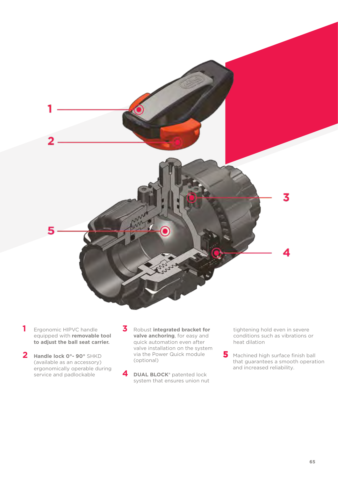

- **1** Ergonomic HIPVC handle equipped with **removable tool to adjust the ball seat carrier.**
- **2 Handle lock 0°- 90°** SHKD (available as an accessory) ergonomically operable during service and padlockable
- **3** Robust **integrated bracket for valve anchoring**, for easy and quick automation even after valve installation on the system via the Power Quick module (optional)
- **4 DUAL BLOCK®** patented lock system that ensures union nut

tightening hold even in severe conditions such as vibrations or heat dilation

Machined high surface finish ball that guarantees a smooth operation and increased reliability. **5**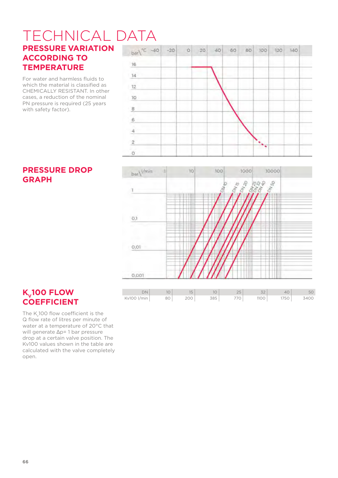#### TECHNICAL DATA**PRESSURE VARIATION ACCORDING TO**  16 **TEMPERATURE**

For water and harmless fluids to which the material is classified as CHEMICALLY RESISTANT. In other cases, a reduction of the nominal PN pressure is required (25 years with safety factor).





#### **PRESSURE DROP GRAPH**

#### **K<sub>v</sub>100 FLOW COEFFICIENT**

The K100 flow coefficient is the Q flow rate of litres per minute of water at a temperature of 20°C that will generate Δp= 1 bar pressure drop at a certain valve position. The Kv100 values shown in the table are calculated with the valve completely open.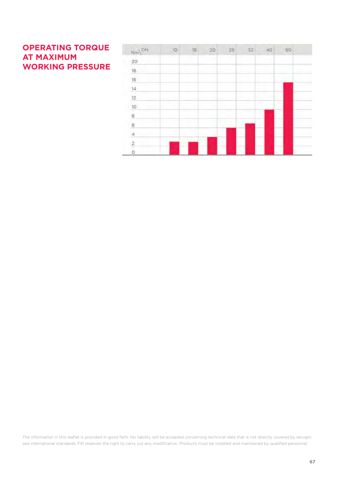### **OPERATING TORQUE AT MAXIMUM WORKING PRESSURE**

| $Nm\sqrt{DN}$<br>20<br>18<br>16<br>14<br>12<br>10<br>8 | 10 | 15. | $-20$  | 25 | 32 | 40 | 50 |  |
|--------------------------------------------------------|----|-----|--------|----|----|----|----|--|
|                                                        |    |     |        |    |    |    |    |  |
|                                                        |    |     |        |    |    |    |    |  |
|                                                        |    |     |        |    |    |    |    |  |
|                                                        |    |     |        |    |    |    |    |  |
|                                                        |    |     |        |    |    |    |    |  |
|                                                        |    |     |        |    |    |    |    |  |
|                                                        |    |     |        |    |    |    |    |  |
| $\overline{6}$                                         |    |     |        |    |    | ۸  |    |  |
| 4                                                      | ٠  |     |        |    |    |    |    |  |
| $\overline{2}$                                         | ÷  |     | ٠<br>T | ٠  |    | ٠  |    |  |
| Ò                                                      |    |     |        |    |    |    |    |  |

The information in this leaflet is provided in good faith. No liability will be accepted concerning technical data that is not directly covered by recognised international standards. FIP reserves the right to carry out any modification. Products must be installed and maintained by qualified personnel.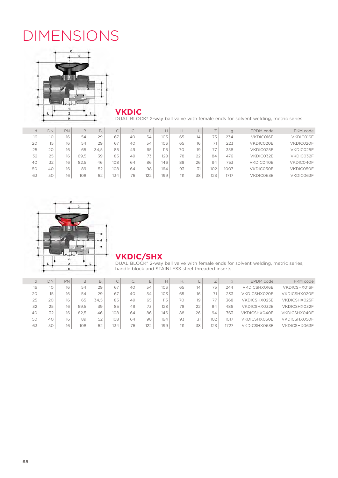## DIMENSIONS



**VKDIC**

DUAL BLOCK® 2-way ball valve with female ends for solvent welding, metric series

| d  | DN | PN | B    | <b>B.</b> | C   | $\overline{\phantom{0}}$<br>J. | E   |     | Н.  |    |     | $\mathbf{g}$ | EPDM code | FKM code  |
|----|----|----|------|-----------|-----|--------------------------------|-----|-----|-----|----|-----|--------------|-----------|-----------|
| 16 | 10 | 16 | 54   | 29        | 67  | 40                             | 54  | 103 | 65  | 14 | 75  | 234          | VKDIC016E | VKDIC016F |
| 20 | 15 | 16 | 54   | 29        | 67  | 40                             | 54  | 103 | 65  | 16 | 71  | 223          | VKDIC020E | VKDIC020F |
| 25 | 20 | 16 | 65   | 34,5      | 85  | 49                             | 65  | 115 | 70  | 19 | 77  | 358          | VKDIC025E | VKDIC025F |
| 32 | 25 | 16 | 69.5 | 39        | 85  | 49                             | 73  | 128 | 78  | 22 | 84  | 476          | VKDIC032E | VKDIC032F |
| 40 | 32 | 16 | 82.5 | 46        | 108 | 64                             | 86  | 146 | 88  | 26 | 94  | 753          | VKDIC040E | VKDIC040F |
| 50 | 40 | 16 | 89   | 52        | 108 | 64                             | 98  | 164 | 93  | 31 | 102 | 1007         | VKDIC050E | VKDIC050F |
| 63 | 50 | 16 | 108  | 62        | 134 | 76                             | 122 | 199 | 111 | 38 | 123 | $ -$<br>1/1/ | VKDIC063E | VKDIC063F |
|    |    |    |      |           |     |                                |     |     |     |    |     |              |           |           |



#### **VKDIC/SHX**

DUAL BLOCK® 2-way ball valve with female ends for solvent welding, metric series, handle block and STAINLESS steel threaded inserts

|    | DN | PN | B    | <b>B.</b> | $\curvearrowright$<br>◡ | ، ب |     |     |     |    |     |      | EPDM code    | FKM code     |
|----|----|----|------|-----------|-------------------------|-----|-----|-----|-----|----|-----|------|--------------|--------------|
| 16 | 10 | 16 | 54   | 29        | 67                      | 40  | 54  | 103 | 65  | 14 | 75. | 244  | VKDICSHX016E | VKDICSHX016F |
| 20 | 15 | 16 | 54   | 29        | 67                      | 40  | 54  | 103 | 65  | 16 |     | 233  | VKDICSHX020E | VKDICSHX020F |
| 25 | 20 | 16 | 65   | 34.5      | 85                      | 49  | 65  | 115 | 70  | 19 |     | 368  | VKDICSHX025E | VKDICSHX025F |
| 32 | 25 | 16 | 69.5 | 39        | 85                      | 49  | 73  | 128 | 78  | 22 | 84  | 486  | VKDICSHX032E | VKDICSHX032F |
| 40 | 32 | 16 | 82.5 | 46        | 108                     | 64  | 86  | 146 | 88  | 26 | 94  | 763  | VKDICSHX040E | VKDICSHX040F |
| 50 | 40 | 16 | 89   | 52        | 108                     | 64  | 98  | 164 | 93  |    | 102 | 1017 | VKDICSHX050E | VKDICSHX050F |
| 63 | 50 | 16 | 108  | 62        | 134                     | 76  | 122 | 199 | 111 | 38 | 123 | 1727 | VKDICSHX063E | VKDICSHX063F |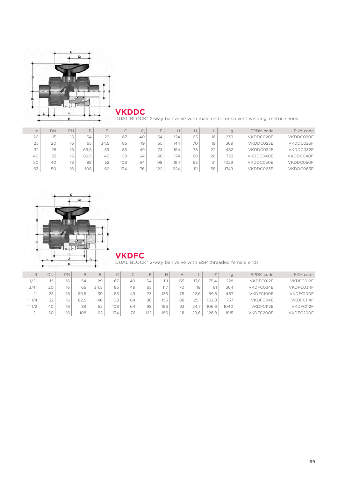

**VKDDC**

DUAL BLOCK® 2-way ball valve with male ends for solvent welding, metric series

|    | DN | PN |      | B.   |     | $\sim$ |     | н   | Н   |    | $\mathbf{g}$ | EPDM code | FKM code  |
|----|----|----|------|------|-----|--------|-----|-----|-----|----|--------------|-----------|-----------|
| 20 | 15 | 16 | 54   | 29   | 67  | 40     | 54  | 124 | 65  | 16 | 239          | VKDDC020E | VKDDC020F |
| 25 | 20 | 16 | 65   | 34.5 | 85  | 49     | 65  | 144 | 70  | 19 | 369          | VKDDC025E | VKDDC025F |
| 32 | 25 | 16 | 69.5 | 39   | 85  | 49     | 73  | 154 | 78  | 22 | 482          | VKDDC032E | VKDDC032F |
| 40 | 32 | 16 | 82.5 | 46   | 108 | 64     | 86  | 174 | 88  | 26 | 753          | VKDDC040E | VKDDC040F |
| 50 | 40 | 16 | 89   | 52   | 108 | 64     | 98  | 194 | 93  |    | 1029         | VKDDC050E | VKDDC050F |
| 63 | 50 | 16 | 108  | 62   | 134 | 76     | 122 | 224 | 111 | 38 | 1749         | VKDDC063E | VKDDC063F |



**VKDFC**

DUAL BLOCK® 2-way ball valve with BSP threaded female ends

| R            | DN | PN |      |      | $\overline{\phantom{0}}$<br>$\sim$ | $\overline{\phantom{0}}$<br>ے | E   | $\mathsf{H}$ | Н.  |      |       | g    | EPDM code | FKM code  |
|--------------|----|----|------|------|------------------------------------|-------------------------------|-----|--------------|-----|------|-------|------|-----------|-----------|
| 1/2"         | 15 | 16 | 54   | 29   | 67                                 | 40                            | 54  | 111          | 65  | 17.8 | 75.4  | 228  | VKDFC012E | VKDFC012F |
| 3/4"         | 20 | 16 | 65   | 34.5 | 85                                 | 49                            | 65  | 117          | 70  | 18   |       | 364  | VKDFC034E | VKDFC034F |
|              | 25 | 16 | 69.5 | 39   | 85                                 | 49                            | 73  | 135          | 78  | 22.6 | 89.8  | 487  | VKDFC100E | VKDFC100F |
| 1" 1/4       | 32 | 16 | 82.5 | 46   | 108                                | 64                            | 86  | 153          | 88  | 25.  | 102.8 | 737  | VKDFC114E | VKDFC114F |
| 1"1/2        | 40 | 16 | 89   | 52   | 108                                | 64                            | 98  | 156          | 93  | 24.  | 106.6 | 1040 | VKDFC112E | VKDFC112F |
| $\bigcap$ 33 | 50 | 16 | 108  | 62   | 134                                | 76                            | 122 | 186          | 111 | 29.6 | 126.8 | 1815 | VKDFC200E | VKDFC200F |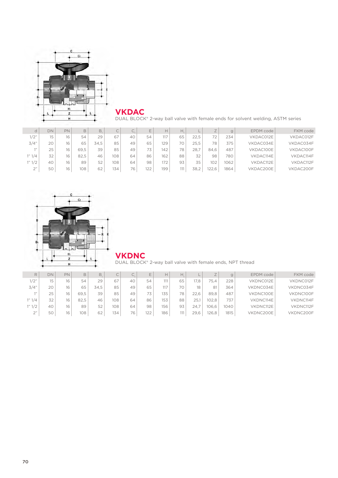

**VKDAC**

DUAL BLOCK® 2-way ball valve with female ends for solvent welding, ASTM series

| d      | DN | PN | B    | B.   | C   | Ċ. | $\overline{\phantom{0}}$ |     |    |      |      |      | EPDM code | FKM code  |
|--------|----|----|------|------|-----|----|--------------------------|-----|----|------|------|------|-----------|-----------|
| 1/2"   | 15 | 16 | 54   | 29   | 67  | 40 | 54                       | 117 | 65 | 22.5 | 72   | 234  | VKDAC012E | VKDAC012F |
| 3/4"   | 20 | 16 | 65   | 34.5 | 85  | 49 | 65                       | 129 |    | 25.5 | 78   | 375  | VKDAC034E | VKDAC034F |
| 111    | 25 | 16 | 69.5 | 39   | 85  | 49 | 73                       | 142 | 78 | 28.  | 84.6 | 487  | VKDAC100E | VKDAC100F |
| 1" 1/4 | 32 | 16 | 82.5 | 46   | 108 | 64 | 86                       | 162 | 88 | 32   | 98   | 780  | VKDAC114E | VKDAC114F |
| 1" 1/2 | 40 | 16 | 89   | 52   | 108 | 64 | 98                       | 172 | 93 | 35   | 102  | 1062 | VKDAC112E | VKDAC112F |
| 2"     | 50 | 16 | 108  | 62   | 134 | 76 | 122                      | 199 |    | 38.2 | 22.6 | 1864 | VKDAC200E | VKDAC200F |



**VKDNC**

DUAL BLOCK® 2-way ball valve with female ends, NPT thread

| R                            | DN | PN |      |      | $\widehat{\phantom{1}}$<br>$\overline{\phantom{a}}$ | $\widehat{\phantom{a}}$<br>U. | E   |     |     |      | $\rightarrow$ |      | EPDM code | FKM code  |
|------------------------------|----|----|------|------|-----------------------------------------------------|-------------------------------|-----|-----|-----|------|---------------|------|-----------|-----------|
| 1/2"                         | 15 | 16 | 54   | 29   | 67                                                  | 40                            | 54  | 111 | 65  | 17.8 | 75,4          | 228  | VKDNC012E | VKDNC012F |
| 3/4"                         | 20 | 16 | 65   | 34.5 | 85                                                  | 49                            | 65  | 117 | 70  |      | 81            | 364  | VKDNC034E | VKDNC034F |
|                              | 25 | 16 | 69.5 | 39   | 85                                                  | 49                            | 73  | 135 | 78  | 22.6 | 89.8          | 487  | VKDNC100E | VKDNC100F |
| 1" 1/4                       | 32 | 16 | 82.5 | 46   | 108                                                 | 64                            | 86  | 153 | 88  | 25.  | 102.8         | 737  | VKDNC114E | VKDNC114F |
| 1" 1/2                       | 40 | 16 | 89   | 52   | 108                                                 | 64                            | 98  | 156 | 93  | 24.7 | 106.6         | 040  | VKDNC112E | VKDNC112F |
| $\bigcap$ $\mathcal{V}$<br>∠ | 50 | 16 | 108  | 62   | 134                                                 | 76                            | 122 | 186 | 111 | 29.6 | 126.8         | 1815 | VKDNC200E | VKDNC200F |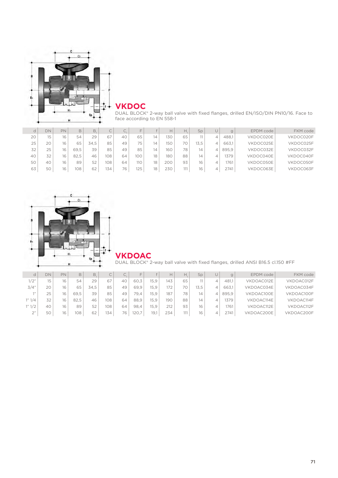

#### **VKDOC**

DUAL BLOCK® 2-way ball valve with fixed flanges, drilled EN/ISO/DIN PN10/16. Face to face according to EN 558-1

| d  | DN          | PN |      | B.   |     | $\curvearrowright$<br>U. | F   |    | H.  | Н.  | Sp   |   | $\mathbf{g}$ | EPDM code | FKM code  |
|----|-------------|----|------|------|-----|--------------------------|-----|----|-----|-----|------|---|--------------|-----------|-----------|
| 20 | $1\sqrt{2}$ | 16 | 54   | 29   | 67  | 40                       | 65  | 14 | 130 | 65  |      |   | 488.1        | VKDOC020E | VKDOC020F |
| 25 | 20          | 16 | 65   | 34.5 | 85  | 49                       | 75  | 14 | 150 | 70  | 13.5 |   | 663.1        | VKDOC025E | VKDOC025F |
| 32 | 25          | 16 | 69.5 | 39   | 85  | 49                       | 85  | 14 | 160 | 78  | 14   |   | 895.9        | VKDOC032E | VKDOC032F |
| 40 | 32          | 16 | 82.5 | 46   | 108 | 64                       | 100 | 18 | 180 | 88  | 14   | 4 | 1379         | VKDOC040E | VKDOC040F |
| 50 | 40          | 16 | 89   | 52   | 108 | 64                       | 110 | 18 | 200 | 93  | 16   | 4 | 1761         | VKDOC050E | VKDOC050F |
| 63 | 50          | 16 | 108  | 62   | 134 | 76                       | 125 | 18 | 230 | 111 | 16   | 4 | 2741         | VKDOC063E | VKDOC063F |



#### **VKDOAC**

#### DUAL BLOCK® 2-way ball valve with fixed flanges, drilled ANSI B16.5 cl.150 #FF

|           | DN | PN | B    | B.   | C   | C. |      |      |     | Н. | Sp  |       | EPDM code  | FKM code   |
|-----------|----|----|------|------|-----|----|------|------|-----|----|-----|-------|------------|------------|
| 1/2"      | 15 | 16 | 54   | 29   | 67  | 40 | 60.3 | 15.9 | 143 | 65 |     | 481.1 | VKDOAC012E | VKDOAC012F |
| 3/4"      | 20 | 16 | 65   | 34.5 | 85  | 49 | 69.9 | 15.9 | 172 | 70 | 3.5 | 663.1 | VKDOAC034E | VKDOAC034F |
| 7.33      | 25 | 16 | 69.5 | 39   | 85  | 49 | 79.4 | 15.9 | 187 | 78 | 14  | 895.9 | VKDOAC100E | VKDOAC100F |
| 1" 1/4    | 32 | 16 | 82.5 | 46   | 108 | 64 | 88.9 | 15.9 | 190 | 88 | 14  | 1379  | VKDOAC114E | VKDOAC114F |
| 1" 1/2    | 40 | 16 | 89   | 52   | 108 | 64 | 98.4 | 15.9 | 212 | 93 | 16  | 1761  | VKDOAC112E | VKDOAC112F |
| $\bigcap$ | 50 | 16 | 108  | 62   | 134 | 76 | 120  | 19.1 | 234 |    | 16  | 2741  | VKDOAC200E | VKDOAC200F |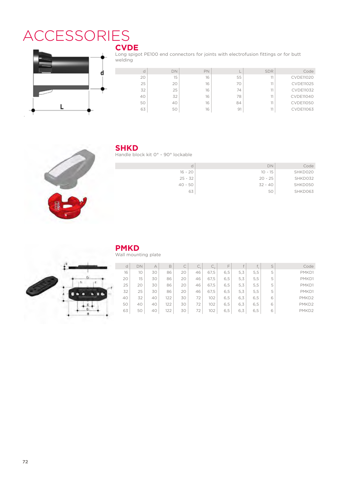## ACCESSORIES **CVDE**



Long spigot PE100 end connectors for joints with electrofusion fittings or for butt welding

| d  | DN | PN |    | <b>SDR</b> | Code             |
|----|----|----|----|------------|------------------|
| 20 | 15 | 16 | 55 | 11         | <b>CVDE11020</b> |
| 25 | 20 | 16 | 70 | 11         | <b>CVDE11025</b> |
| 32 | 25 | 16 | 74 | 11         | <b>CVDE11032</b> |
| 40 | 32 | 16 | 78 | 11         | <b>CVDE11040</b> |
| 50 | 40 | 16 | 84 | 11         | <b>CVDE11050</b> |
| 63 | 50 | 16 | 91 |            | <b>CVDE11063</b> |



#### **SHKD**

Handle block kit 0° - 90° lockable

| d         | DN        | Code    |
|-----------|-----------|---------|
| $16 - 20$ | $10 - 15$ | SHKD020 |
| $25 - 32$ | $20 - 25$ | SHKD032 |
| $40 - 50$ | $32 - 40$ | SHKD050 |
| 63        | 50        | SHKD063 |



### **PMKD**

Wall mounting plate

| d  | DN | А  | B   | $\curvearrowright$<br>◡ | $\widehat{\phantom{1}}$<br>J. | $\sqrt{2}$<br>しっ | ⊢   |      | £   | S | Code              |
|----|----|----|-----|-------------------------|-------------------------------|------------------|-----|------|-----|---|-------------------|
| 16 | 10 | 30 | 86  | 20                      | 46                            | 67,5             | 6,5 | 5, 3 | 5,5 | 5 | PMKD1             |
| 20 | 15 | 30 | 86  | 20                      | 46                            | 67,5             | 6.5 | 5.3  | 5,5 | 5 | PMKD1             |
| 25 | 20 | 30 | 86  | 20                      | 46                            | 67,5             | 6,5 | 5, 3 | 5,5 | 5 | PMKD1             |
| 32 | 25 | 30 | 86  | 20                      | 46                            | 67,5             | 6,5 | 5, 3 | 5,5 | 5 | PMKD1             |
| 40 | 32 | 40 | 122 | 30                      | 72                            | 102              | 6,5 | 6.3  | 6,5 | 6 | PMKD <sub>2</sub> |
| 50 | 40 | 40 | 122 | 30                      | 72                            | 102              | 6,5 | 6.3  | 6,5 | 6 | PMKD <sub>2</sub> |
| 63 | 50 | 40 | 122 | 30                      | 72                            | 102              | 6,5 | 6,3  | 6,5 | 6 | PMKD <sub>2</sub> |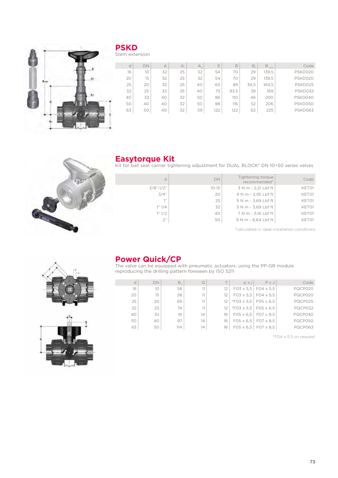

#### **PSKD** Stem extension

| d  | DN | $\overline{A}$ | A. | $A_{\alpha}$ | Ε   | B    | B.   | B<br>min | Code    |
|----|----|----------------|----|--------------|-----|------|------|----------|---------|
| 16 | 10 | 32             | 25 | 32           | 54  | 70   | 29   | 139,5    | PSKD020 |
| 20 | 15 | 32             | 25 | 32           | 54  | 70   | 29   | 139.5    | PSKD020 |
| 25 | 20 | 32             | 25 | 40           | 65  | 89   | 34.5 | 164,5    | PSKD025 |
| 32 | 25 | 32             | 25 | 40           | 73  | 93,5 | 39   | 169      | PSKD032 |
| 40 | 32 | 40             | 32 | 50           | 86  | 110  | 46   | 200      | PSKD040 |
| 50 | 40 | 40             | 32 | 50           | 98  | 116  | 52   | 206      | PSKD050 |
| 63 | 50 | 40             | 32 | 59           | 122 | 122  | 62   | 225      | PSKD063 |



#### **Easytorque Kit**

Kit for ball seat carrier tightening adjustment for DUAL BLOCK® DN 10÷50 series valves

| Code  | Tightening torque<br>recommended* | DN        | d            |
|-------|-----------------------------------|-----------|--------------|
| KET01 | 3 N m - 2,21 Lbf ft               | $10 - 15$ | $3/8$ "-1/2" |
| KET01 | 4 N m - 2,95 Lbf ft               | 20        | 3/4"         |
| KET01 | 5 N m - 3,69 Lbf ft               | 25        | 111          |
| KET01 | 5 N m - 3,69 Lbf ft               | 32        | 1" 1/4       |
| KET01 | 7 N m - 5,16 Lbf ft               | 40        | 1" 1/2       |
| KET01 | 9 N m - 6,64 Lbf ft               | 50        | 2"           |
|       |                                   |           |              |

\*calculated in ideal installation conditions





#### **Power Quick/CP**

The valve can be equipped with pneumatic actuators, using the PP-GR module reproducing the drilling pattern foreseen by ISO 5211

| d  | <b>DN</b>       | $B_{\gamma}$ | $\Omega$ |           | pxi                               | $P \times J$                      | Code           |
|----|-----------------|--------------|----------|-----------|-----------------------------------|-----------------------------------|----------------|
| 16 | 10 <sup>°</sup> | 58           | 11       | $12^{12}$ |                                   | $F03 \times 5.5$ $F04 \times 5.5$ | PQCP020        |
| 20 | 15              | 58           | 11       | $12^{12}$ |                                   | $FO3 \times 5.5$ FO4 $\times 5.5$ | PQCP020        |
| 25 | 20              | 69           | 11       | 12        | $*F03 \times 5.5$                 | $F05 \times 6.5$                  | PQCP025        |
| 32 | 25              | 74           | 11       | 12        | $*F03 \times 5.5$                 | $FO5 \times 6.5$                  | PQCP032        |
| 40 | 32              | 91           | 14       | 16        | $FO5 \times 6.5$ FO7 $\times$ 8.5 |                                   | PQCP040        |
| 50 | 40              | 97           | 14       | 16        | $F05 \times 6.5$                  | $FO7 \times 8.5$                  | PQCP050        |
| 63 | 50              | 114          | 14       | 16        | $F05 \times 6.5$                  | F07 x 8.5                         | <b>PQCP063</b> |

\*F04 x 5.5 on request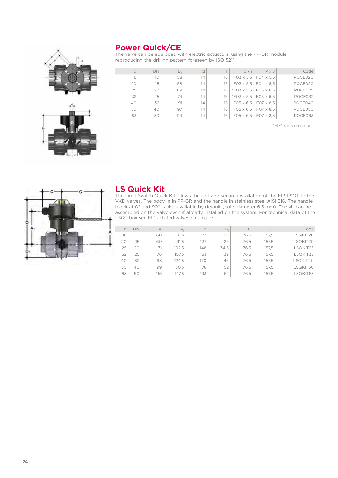#### **Power Quick/CE**



The valve can be equipped with electric actuators, using the PP-GR module reproducing the drilling pattern foreseen by ISO 5211

| d  | <b>DN</b> | $B_{\gamma}$ | $\Omega$ | $\overline{\phantom{a}}$ | DXI               | $P \times J$     | Code    |
|----|-----------|--------------|----------|--------------------------|-------------------|------------------|---------|
| 16 | 10        | 58           | 14       | 16                       | $FO3 \times 5.5$  | $FO4 \times 5.5$ | PQCE020 |
| 20 | 15        | 58           | 14       | 16                       | $FO3 \times 5.5$  | $FO4 \times 5.5$ | PQCE020 |
| 25 | 20        | 69           | 14       | 16                       | $*F03 \times 5.5$ | $F05 \times 6.5$ | PQCE025 |
| 32 | 25        | 74           | 14       | 16                       | $*F03 \times 5.5$ | $FC5 \times 6.5$ | PQCE032 |
| 40 | 32        | 91           | 14       | 16                       | $F05 \times 6.5$  | F07 x 8.5        | PQCE040 |
| 50 | 40        | 97           | 14       | 16                       | $FO5 \times 6.5$  | $FO7 \times 8.5$ | PQCE050 |
| 63 | 50        | 114          | 14       | 16                       | $FO5 \times 6.5$  | $FO7 \times 8.5$ | PQCE063 |

\*F04 x 5.5 on request



#### **LS Quick Kit**

The Limit Switch Quick Kit allows the fast and secure installation of the FIP LSQT to the VKD valves. The body in in PP-GR and the handle in stainless steel AISI 316. The handle block at 0° and 90° is also available by default (hole diameter 6.5 mm). The kit can be assembled on the valve even if already installed on the system. For technical data of the LSQT box see FIP actated valves catalogue.

| d  | <b>DN</b> | $\forall$ | $A_{1}$ | B   | B.   | C    | C     | Code     |
|----|-----------|-----------|---------|-----|------|------|-------|----------|
| 16 | 10        | 60        | 91,5    | 137 | 29   | 76,5 | 157,5 | LSQKIT20 |
| 20 | 15        | 60        | 91,5    | 137 | 29   | 76,5 | 157,5 | LSQKIT20 |
| 25 | 20        | 71        | 102,5   | 148 | 34,5 | 76,5 | 157,5 | LSQKIT25 |
| 32 | 25        | 76        | 107,5   | 153 | 39   | 76.5 | 157,5 | LSQKIT32 |
| 40 | 32        | 93        | 124.5   | 170 | 46   | 76,5 | 157,5 | LSQKIT40 |
| 50 | 40        | 99        | 130,5   | 176 | 52   | 76.5 | 157,5 | LSQKIT50 |
| 63 | 50        | 116       | 147,5   | 193 | 62   | 76,5 | 157,5 | LSQKIT63 |
|    |           |           |         |     |      |      |       |          |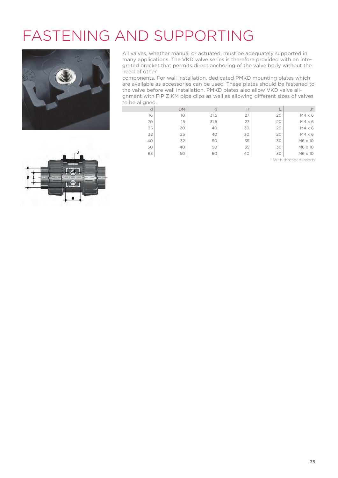# FASTENING AND SUPPORTING



All valves, whether manual or actuated, must be adequately supported in many applications. The VKD valve series is therefore provided with an integrated bracket that permits direct anchoring of the valve body without the need of other

components. For wall installation, dedicated PMKD mounting plates which are available as accessories can be used. These plates should be fastened to the valve before wall installation. PMKD plates also allow VKD valve alignment with FIP ZIKM pipe clips as well as allowing different sizes of valves to be aligned.

d DN g H L J\* 16 10 31,5 27 20 M4 x 6 20 15 31,5 27 20 M4 x 6 25 20 20 40 30 20 M4 x 6  $32$  25 40 30 20 M4 x 6 40 32 50 35 30 M6 x 10 50 40 50 35 30 M6 x 10 63 50 50 60 40 50 M6 x 10

\* With threaded inserts

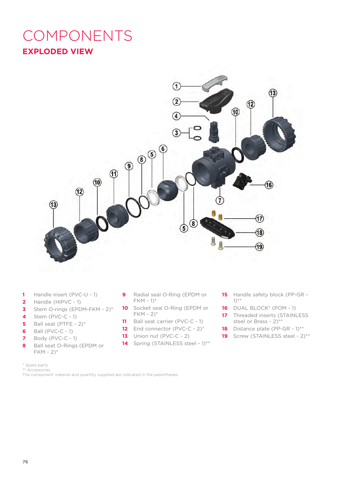## **EXPLODED VIEW** COMPONENTS



- **1** Handle insert (PVC-U 1)
- **2** Handle (HIPVC 1)
- **3** Stem O-rings (EPDM-FKM 2)\*
- **4** Stem (PVC-C 1)
- **5** Ball seat (PTFE 2)\*
- **6** Ball (PVC-C 1)
- **7** Body (PVC-C 1)
- **8** Ball seat O-Rings (EPDM or  $FKM - 2$ <sup>\*</sup>
- \* Spare parts
- \*\* Accessories

The component material and quantity supplied are indicated in the parentheses.

- **9** Radial seal O-Ring (EPDM or FKM - 1)\*
- **10** Socket seal O-Ring (EPDM or FKM - 2)\*
- 11 Ball seat carrier (PVC-C 1)
- **12** End connector (PVC-C 2)\*
- **13** Union nut (PVC-C 2)
- 14 Spring (STAINLESS steel 1)\*\*
- **15** Handle safety block (PP-GR 1)\*\*
- **16** DUAL BLOCK® (POM 1)
- **17** Threaded inserts (STAINLESS steel or Brass - 2)\*\*
- 18 Distance plate (PP-GR 1)<sup>\*\*</sup>
- 19 Screw (STAINLESS steel 2)<sup>\*\*</sup>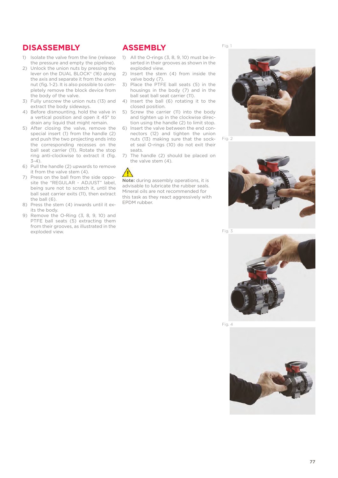#### **DISASSEMBLY**

- 1) Isolate the valve from the line (release the pressure and empty the pipeline).
- 2) Unlock the union nuts by pressing the lever on the DUAL BLOCK® (16) along the axis and separate it from the union nut (fig. 1-2). It is also possible to completely remove the block device from the body of the valve.
- 3) Fully unscrew the union nuts (13) and extract the body sideways.
- 4) Before dismounting, hold the valve in a vertical position and open it 45° to drain any liquid that might remain.
- 5) After closing the valve, remove the special insert (1) from the handle (2) and push the two projecting ends into the corresponding recesses on the ball seat carrier (11). Rotate the stop ring anti-clockwise to extract it (fig.  $3-4$
- 6) Pull the handle (2) upwards to remove it from the valve stem (4).
- 7) Press on the ball from the side opposite the "REGULAR - ADJUST" label, being sure not to scratch it, until the ball seat carrier exits (11), then extract the ball (6).
- 8) Press the stem (4) inwards until it exits the body.
- 9) Remove the O-Ring (3, 8, 9, 10) and PTFE ball seats (5) extracting them from their grooves, as illustrated in the exploded view.

#### **ASSEMBLY**

- 1) All the O-rings (3, 8, 9, 10) must be inserted in their grooves as shown in the exploded view.
- 2) Insert the stem (4) from inside the valve body (7).
- 3) Place the PTFE ball seats (5) in the housings in the body (7) and in the ball seat ball seat carrier (11).
- 4) Insert the ball (6) rotating it to the closed position.
- 5) Screw the carrier (11) into the body and tighten up in the clockwise direction using the handle (2) to limit stop.
- 6) lnsert the valve between the end connectors (12) and tighten the union nuts (13) making sure that the socket seal O-rings (10) do not exit their seats.
- 7) The handle (2) should be placed on the valve stem (4).



**Note:** during assembly operations, it is advisable to lubricate the rubber seals. Mineral oils are not recommended for this task as they react aggressively with EPDM rubber.

Fig. 1



Fig. 2



Fig. 3



Fig. 4